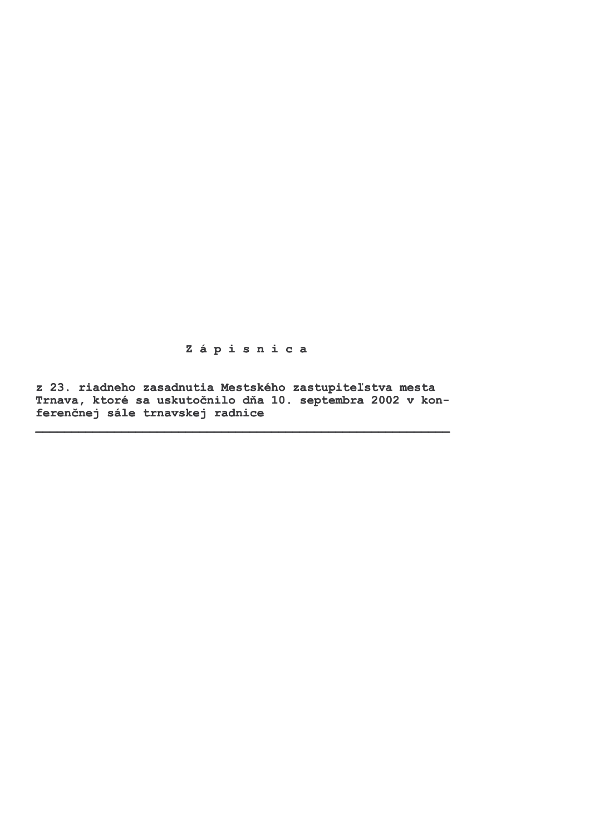Zápisnica

z 23. riadneho zasadnutia Mestského zastupiteľstva mesta Trnava, ktoré sa uskutočnilo dňa 10. septembra 2002 v konferenčnej sále trnavskej radnice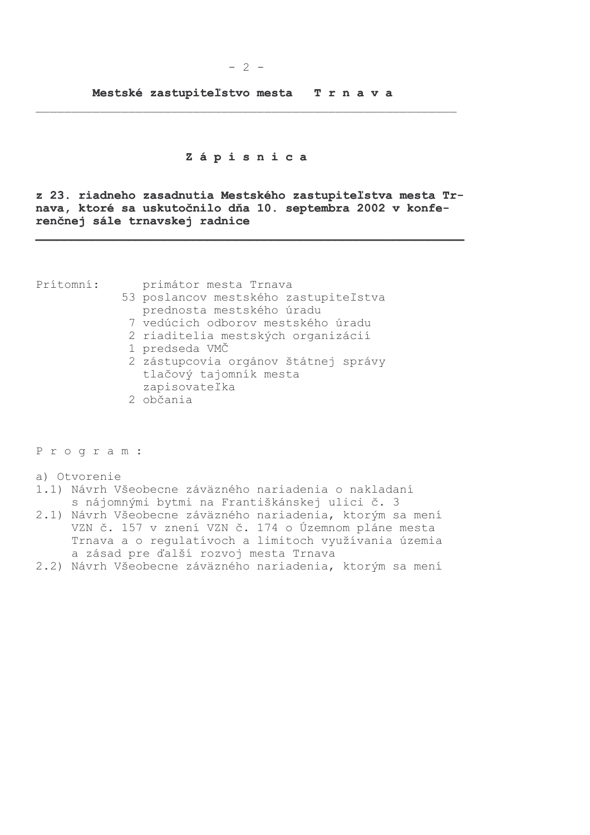### Zápisnica

z 23. riadneho zasadnutia Mestského zastupiteľstva mesta Trnava, ktoré sa uskutočnilo dňa 10. septembra 2002 v konferenčnej sále trnavskej radnice

Prítomní:

primátor mesta Trnava

- 53 poslancov mestského zastupiteľstva prednosta mestského úradu
	- 7 vedúcich odborov mestského úradu
	- 2 riaditelia mestských organizácií
	- 1 predseda VMČ
- 2 zástupcovia orgánov štátnej správy tlačový tajomník mesta zapisovateľka
- 2 občania

Program:

a) Otvorenie

- 1.1) Návrh Všeobecne záväzného nariadenia o nakladaní s nájomnými bytmi na Františkánskej ulici č. 3
- 2.1) Návrh Všeobecne záväzného nariadenia, ktorým sa mení VZN č. 157 v znení VZN č. 174 o Územnom pláne mesta<br>Trnava a o regulatívoch a limitoch využívania územia a zásad pre ďalší rozvoj mesta Trnava
- 2.2) Návrh Všeobecne záväzného nariadenia, ktorým sa mení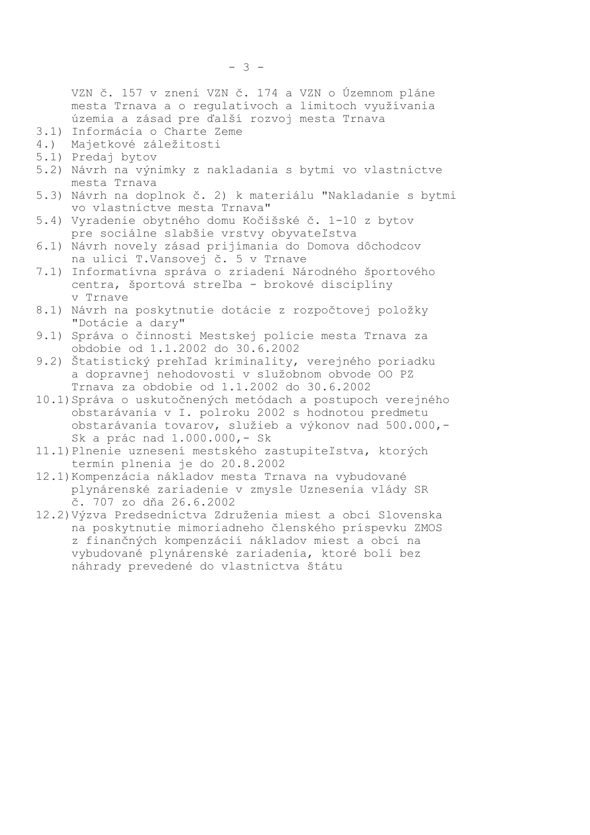VZN č. 157 v znení VZN č. 174 a VZN o Územnom pláne mesta Trnava a o regulatívoch a limitoch využívania územia a zásad pre ďalší rozvoj mesta Trnava

- 3.1) Informácia o Charte Zeme
- 4.) Majetkové záležitosti
- 5.1) Predaj bytov
- 5.2) Návrh na výnimky z nakladania s bytmi vo vlastníctve mesta Trnava
- 5.3) Návrh na doplnok č. 2) k materiálu "Nakladanie s bytmi vo vlastníctve mesta Trnava"
- 5.4) Vyradenie obytného domu Kočišské č. 1-10 z bytov pre sociálne slabšie vrstvy obyvateľstva
- 6.1) Návrh novely zásad prijímania do Domova dôchodcov na ulici T.Vansovej č. 5 v Trnave
- 7.1) Informatívna správa o zriadení Národného športového centra, športová streľba - brokové disciplíny v Trnave
- 8.1) Návrh na poskytnutie dotácie z rozpočtovej položky "Dotácie a dary"
- 9.1) Správa o činnosti Mestskej polície mesta Trnava za obdobie od 1.1.2002 do 30.6.2002
- 9.2) Štatistický prehľad kriminality, verejného poriadku a dopravnej nehodovosti v služobnom obvode OO PZ Trnava za obdobie od 1.1.2002 do 30.6.2002
- 10.1) Správa o uskutočnených metódach a postupoch verejného obstarávania v I. polroku 2002 s hodnotou predmetu obstarávania tovarov, služieb a výkonov nad 500.000,-Sk a prác nad 1.000.000,- Sk
- 11.1) Plnenie uznesení mestského zastupiteľstva, ktorých termín plnenia je do 20.8.2002
- 12.1) Kompenzácia nákladov mesta Trnava na vybudované plynárenské zariadenie v zmysle Uznesenia vlády SR č. 707 zo dňa 26.6.2002
- 12.2) Výzva Predsedníctva Združenia miest a obcí Slovenska na poskytnutie mimoriadneho členského príspevku ZMOS z finančných kompenzácií nákladov miest a obcí na vybudované plynárenské zariadenia, ktoré boli bez náhrady prevedené do vlastníctva štátu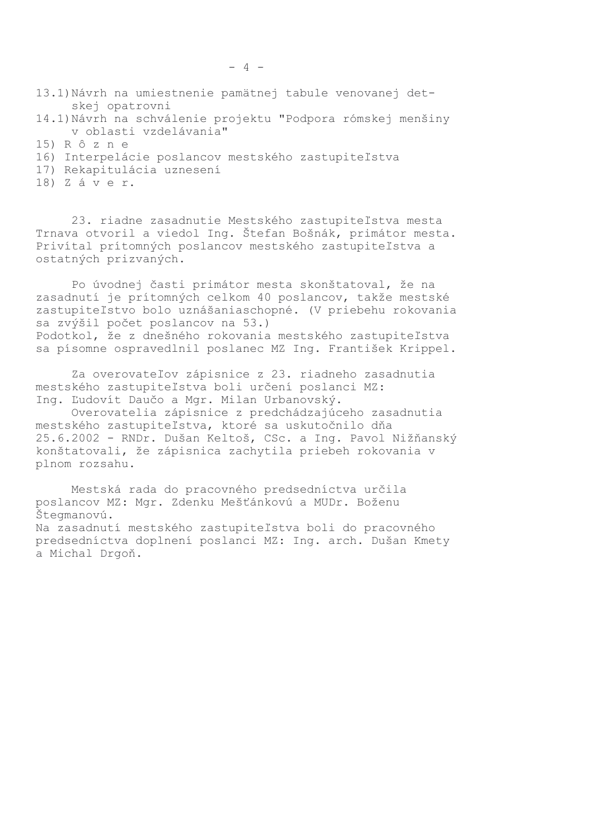- 13.1) Návrh na umiestnenie pamätnej tabule venovanej detskej opatrovni
- 14.1) Návrh na schválenie projektu "Podpora rómskej menšiny v oblasti vzdelávania"
- 15) R ô z n e
- 16) Interpelácie poslancov mestského zastupiteľstva
- 17) Rekapitulácia uznesení
- 18) Záver.

23. riadne zasadnutie Mestského zastupiteľstva mesta Trnava otvoril a viedol Ing. Štefan Bošnák, primátor mesta. Privítal prítomných poslancov mestského zastupiteľstva a ostatných prizvaných.

Po úvodnej časti primátor mesta skonštatoval, že na zasadnutí je prítomných celkom 40 poslancov, takže mestské zastupiteľstvo bolo uznášaniaschopné. (V priebehu rokovania sa zvýšil počet poslancov na 53.) Podotkol, že z dnešného rokovania mestského zastupiteľstva sa písomne ospravedlnil poslanec MZ Ing. František Krippel.

Za overovateľov zápisnice z 23. riadneho zasadnutia mestského zastupiteľstva boli určení poslanci MZ: Ing. Ľudovít Daučo a Mgr. Milan Urbanovský.

Overovatelia zápisnice z predchádzajúceho zasadnutia mestského zastupiteľstva, ktoré sa uskutočnilo dňa 25.6.2002 - RNDr. Dušan Keltoš, CSc. a Ing. Pavol Nižňanský konštatovali, že zápisnica zachytila priebeh rokovania v plnom rozsahu.

Mestská rada do pracovného predsedníctva určila poslancov MZ: Mgr. Zdenku Mešťánkovú a MUDr. Boženu Štegmanovú. Na zasadnutí mestského zastupiteľstva boli do pracovného predsedníctva doplnení poslanci MZ: Ing. arch. Dušan Kmety a Michal Drgoň.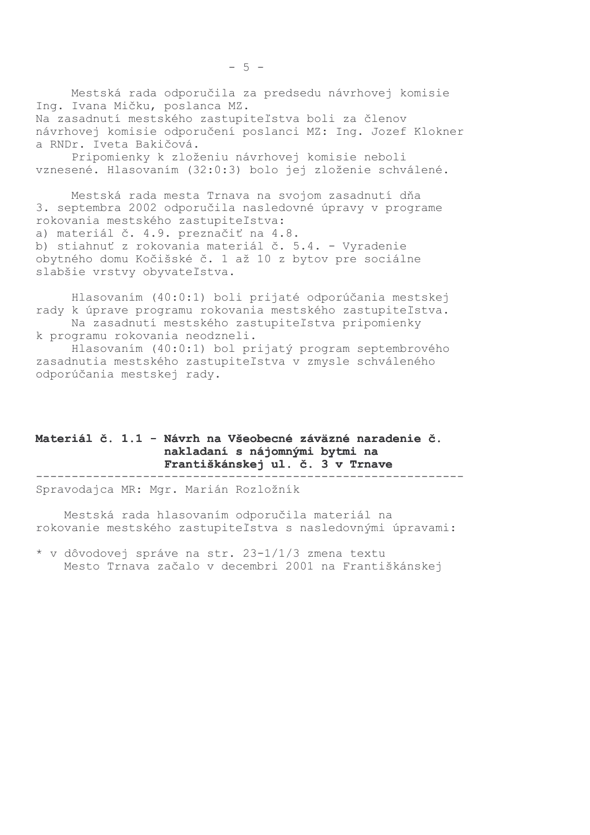Mestská rada odporučila za predsedu návrhovej komisie Ing. Ivana Mičku, poslanca MZ. Na zasadnutí mestského zastupiteľstva boli za členov

návrhovej komisie odporučení poslanci MZ: Ing. Jozef Klokner a RNDr. Iveta Bakičová.

Pripomienky k zloženiu návrhovej komisie neboli vznesené. Hlasovaním (32:0:3) bolo jej zloženie schválené.

Mestská rada mesta Trnava na svojom zasadnutí dňa 3. septembra 2002 odporučila nasledovné úpravy v programe rokovania mestského zastupiteľstva: a) materiál č. 4.9. preznačiť na 4.8. b) stiahnuť z rokovania materiál č. 5.4. - Vyradenie obytného domu Kočišské č. 1 až 10 z bytov pre sociálne slabšie vrstvy obyvateľstva.

Hlasovaním (40:0:1) boli prijaté odporúčania mestskej rady k úprave programu rokovania mestského zastupiteľstva. Na zasadnutí mestského zastupiteľstva pripomienky k programu rokovania neodzneli.

Hlasovaním (40:0:1) bol prijatý program septembrového zasadnutia mestského zastupiteľstva v zmysle schváleného odporúčania mestskej rady.

### Materiál č. 1.1 - Návrh na Všeobecné záväzné naradenie č. nakladaní s nájomnými bytmi na Františkánskej ul. č. 3 v Trnave

Spravodajca MR: Mgr. Marián Rozložník

Mestská rada hlasovaním odporučila materiál na rokovanie mestského zastupiteľstva s nasledovnými úpravami:

\* v dôvodovej správe na str. 23-1/1/3 zmena textu Mesto Trnava začalo v decembri 2001 na Františkánskej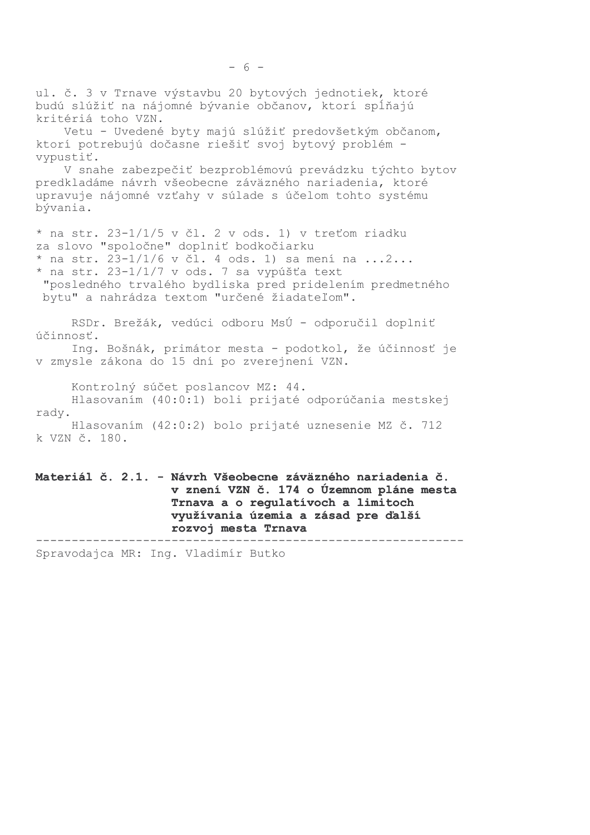ul. č. 3 v Trnave výstavbu 20 bytových jednotiek, ktoré budú slúžiť na nájomné bývanie občanov, ktorí spĺňajú kritériá toho VZN. Vetu - Uvedené byty majú slúžiť predovšetkým občanom, ktorí potrebujú dočasne riešiť svoj bytový problém vypustiť. V snahe zabezpečiť bezproblémovú prevádzku týchto bytov predkladáme návrh všeobecne záväzného nariadenia, ktoré upravuje nájomné vzťahy v súlade s účelom tohto systému bývania. \* na str. 23-1/1/5 v čl. 2 v ods. 1) v treťom riadku za slovo "spoločne" doplniť bodkočiarku \* na str. 23-1/1/6 v čl. 4 ods. 1) sa mení na ...2... \* na str. 23-1/1/7 v ods. 7 sa vypúšťa text "posledného trvalého bydliska pred pridelením predmetného bytu" a nahrádza textom "určené žiadateľom". RSDr. Brežák, vedúci odboru MsÚ - odporučil doplniť účinnosť. Ing. Bošnák, primátor mesta - podotkol, že účinnosť je v zmysle zákona do 15 dní po zverejnení VZN. Kontrolný súčet poslancov MZ: 44. Hlasovaním (40:0:1) boli prijaté odporúčania mestskej rady. Hlasovaním (42:0:2) bolo prijaté uznesenie MZ č. 712 k VZN č. 180. Materiál č. 2.1. - Návrh Všeobecne záväzného nariadenia č. v znení VZN č. 174 o Územnom pláne mesta Trnava a o regulatívoch a limitoch využívania územia a zásad pre ďalší

\_\_\_\_\_\_\_\_\_ ---------------------------------Spravodajca MR: Ing. Vladimír Butko

rozvoj mesta Trnava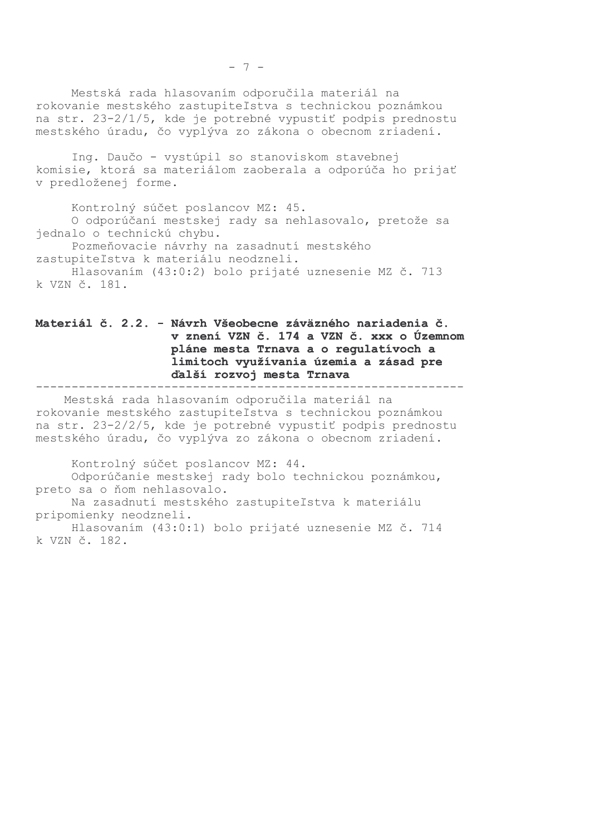Mestská rada hlasovaním odporučila materiál na rokovanie mestského zastupiteľstva s technickou poznámkou na str. 23-2/1/5, kde je potrebné vypustiť podpis prednostu mestského úradu, čo vyplýva zo zákona o obecnom zriadení.

Ing. Daučo - vystúpil so stanoviskom stavebnej komisie, ktorá sa materiálom zaoberala a odporúča ho prijať v predloženej forme.

Kontrolný súčet poslancov MZ: 45. O odporúčaní mestskej rady sa nehlasovalo, pretože sa jednalo o technickú chybu. Pozmeňovacie návrhy na zasadnutí mestského zastupiteľstva k materiálu neodzneli. Hlasovaním (43:0:2) bolo prijaté uznesenie MZ č. 713 k VZN č. 181.

### Materiál č. 2.2. - Návrh Všeobecne záväzného nariadenia č. v znení VZN č. 174 a VZN č. xxx o Územnom pláne mesta Trnava a o regulatívoch a limitoch využívania územia a zásad pre ďalší rozvoj mesta Trnava

Mestská rada hlasovaním odporučila materiál na rokovanie mestského zastupiteľstva s technickou poznámkou na str. 23-2/2/5, kde je potrebné vypustiť podpis prednostu mestského úradu, čo vyplýva zo zákona o obecnom zriadení.

Kontrolný súčet poslancov MZ: 44. Odporúčanie mestskej rady bolo technickou poznámkou, preto sa o ňom nehlasovalo.

Na zasadnutí mestského zastupiteľstva k materiálu pripomienky neodzneli.

Hlasovaním (43:0:1) bolo prijaté uznesenie MZ č. 714 k VZN č. 182.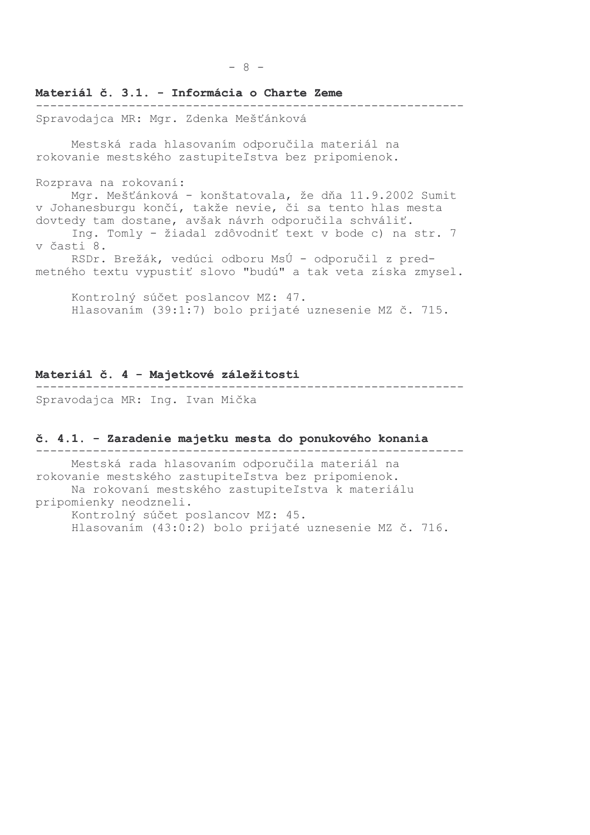# Materiál č. 3.1. - Informácia o Charte Zeme Spravodajca MR: Mgr. Zdenka Mešťánková Mestská rada hlasovaním odporučila materiál na rokovanie mestského zastupiteľstva bez pripomienok. Rozprava na rokovaní: Mgr. Mešťánková - konštatovala, že dňa 11.9.2002 Sumit v Johanesburgu končí, takže nevie, či sa tento hlas mesta dovtedy tam dostane, avšak návrh odporučila schváliť. Ing. Tomly - žiadal zdôvodniť text v bode c) na str. 7 v časti 8. RSDr. Brežák, vedúci odboru MsÚ - odporučil z predmetného textu vypustiť slovo "budú" a tak veta získa zmysel.

Kontrolný súčet poslancov MZ: 47. Hlasovaním (39:1:7) bolo prijaté uznesenie MZ č. 715.

### Materiál č. 4 - Majetkové záležitosti

Spravodajca MR: Ing. Ivan Mička

#### č. 4.1. - Zaradenie majetku mesta do ponukového konania

Mestská rada hlasovaním odporučila materiál na rokovanie mestského zastupiteľstva bez pripomienok. Na rokovaní mestského zastupiteľstva k materiálu pripomienky neodzneli. Kontrolný súčet poslancov MZ: 45. Hlasovaním (43:0:2) bolo prijaté uznesenie MZ č. 716.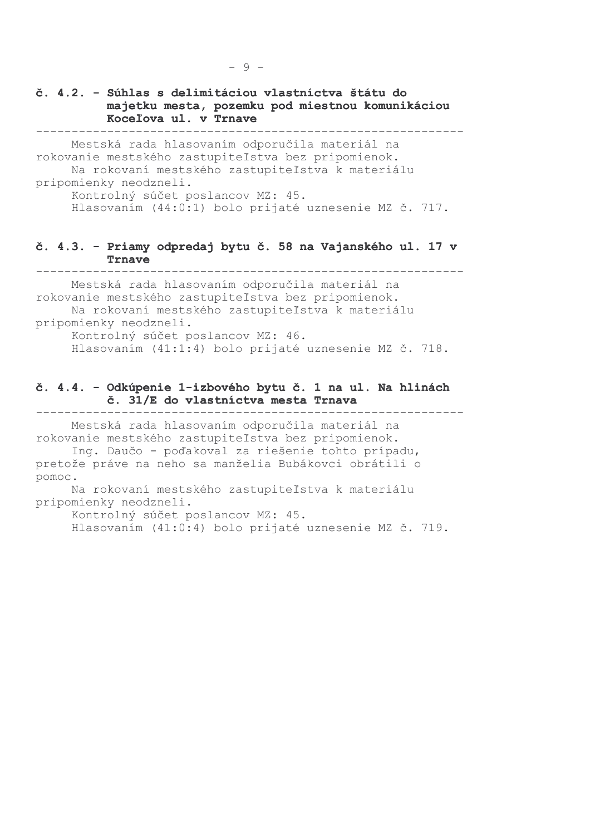č. 4.2. - Súhlas s delimitáciou vlastníctva štátu do majetku mesta, pozemku pod miestnou komunikáciou Kocelova ul. v Trnave ----------------------------

Mestská rada hlasovaním odporučila materiál na rokovanie mestského zastupiteľstva bez pripomienok. Na rokovaní mestského zastupiteľstva k materiálu pripomienky neodzneli. Kontrolný súčet poslancov MZ: 45.

Hlasovaním (44:0:1) bolo prijaté uznesenie MZ č. 717.

### č. 4.3. - Priamy odpredaj bytu č. 58 na Vajanského ul. 17 v Trnave

Mestská rada hlasovaním odporučila materiál na rokovanie mestského zastupiteľstva bez pripomienok. Na rokovaní mestského zastupiteľstva k materiálu pripomienky neodzneli.

Kontrolný súčet poslancov MZ: 46. Hlasovaním (41:1:4) bolo prijaté uznesenie MZ č. 718.

### č. 4.4. - Odkúpenie 1-izbového bytu č. 1 na ul. Na hlinách č. 31/E do vlastníctva mesta Trnava

Mestská rada hlasovaním odporučila materiál na rokovanie mestského zastupiteľstva bez pripomienok. Ing. Daučo - poďakoval za riešenie tohto prípadu, pretože práve na neho sa manželia Bubákovci obrátili o pomoc.

Na rokovaní mestského zastupiteľstva k materiálu pripomienky neodzneli.

Kontrolný súčet poslancov MZ: 45.

Hlasovaním (41:0:4) bolo prijaté uznesenie MZ č. 719.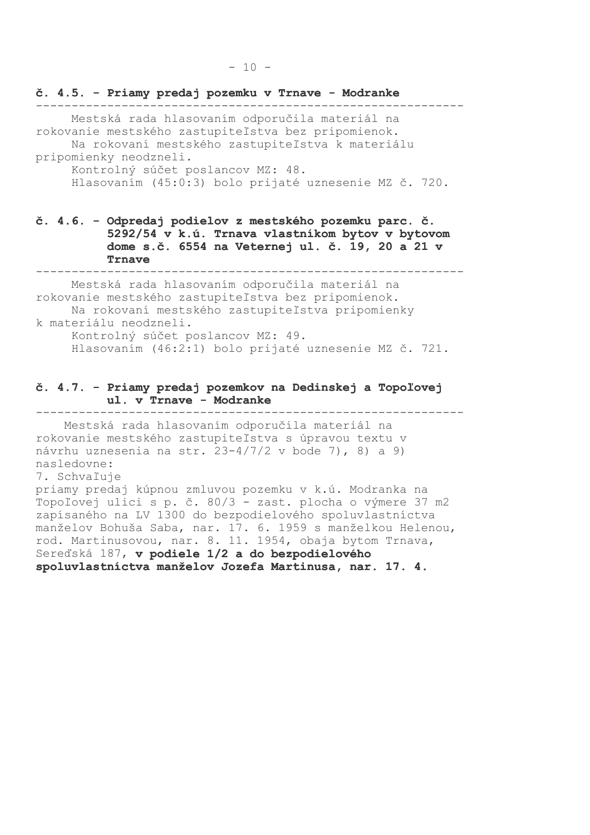Mestská rada hlasovaním odporučila materiál na rokovanie mestského zastupiteľstva bez pripomienok. Na rokovaní mestského zastupiteľstva k materiálu

pripomienky neodzneli.

Kontrolný súčet poslancov MZ: 48. Hlasovaním (45:0:3) bolo prijaté uznesenie MZ č. 720.

## č. 4.6. - Odpredaj podielov z mestského pozemku parc. č. 5292/54 v k.ú. Trnava vlastníkom bytov v bytovom dome s.č. 6554 na Veternej ul. č. 19, 20 a 21 v Trnave

Mestská rada hlasovaním odporučila materiál na rokovanie mestského zastupiteľstva bez pripomienok. Na rokovaní mestského zastupiteľstva pripomienky k materiálu neodzneli. Kontrolný súčet poslancov MZ: 49.

Hlasovaním (46:2:1) bolo prijaté uznesenie MZ č. 721.

### č. 4.7. - Priamy predaj pozemkov na Dedinskej a Topoľovej ul. v Trnave - Modranke

Mestská rada hlasovaním odporučila materiál na rokovanie mestského zastupiteľstva s úpravou textu v návrhu uznesenia na str. 23-4/7/2 v bode 7), 8) a 9) nasledovne:

#### 7. Schvaľuje

priamy predaj kúpnou zmluvou pozemku v k.ú. Modranka na Topoľovej ulici s p. č. 80/3 - zast. plocha o výmere 37 m2 zapísaného na LV 1300 do bezpodielového spoluvlastníctva manželov Bohuša Saba, nar. 17. 6. 1959 s manželkou Helenou, rod. Martinusovou, nar. 8. 11. 1954, obaja bytom Trnava, Sereďská 187, v podiele 1/2 a do bezpodielového spoluvlastníctva manželov Jozefa Martinusa, nar. 17. 4.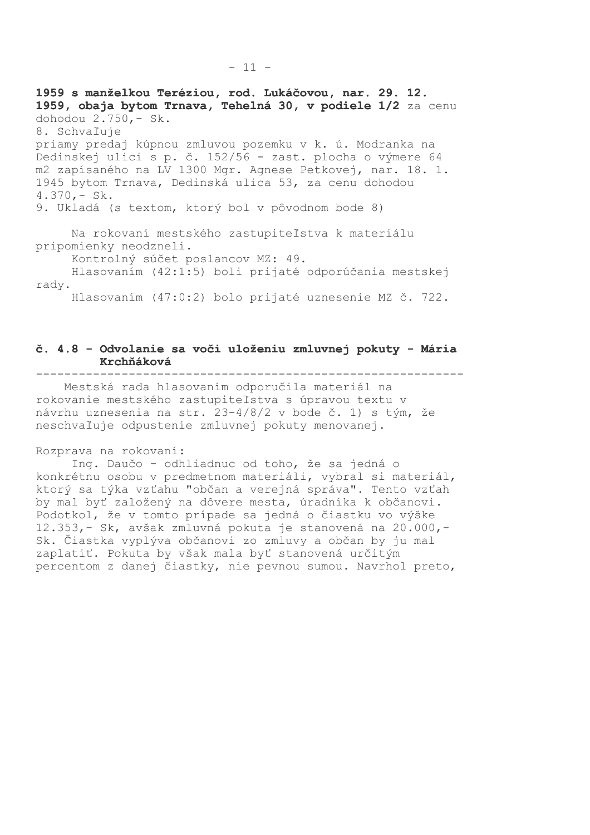1959 s manželkou Teréziou, rod. Lukáčovou, nar. 29. 12. 1959, obaja bytom Trnava, Tehelná 30, v podiele 1/2 za cenu dohodou 2.750,- Sk. 8. Schvaľuje priamy predaj kúpnou zmluvou pozemku v k. ú. Modranka na Dedinskej ulici s p. č. 152/56 - zast. plocha o výmere 64 m2 zapísaného na LV 1300 Mgr. Agnese Petkovej, nar. 18. 1. 1945 bytom Trnava, Dedinská ulica 53, za cenu dohodou  $4.370 - Sk.$ 9. Ukladá (s textom, ktorý bol v pôvodnom bode 8)

Na rokovaní mestského zastupiteľstva k materiálu pripomienky neodzneli.

Kontrolný súčet poslancov MZ: 49.

Hlasovaním (42:1:5) boli prijaté odporúčania mestskej rady.

Hlasovaním (47:0:2) bolo prijaté uznesenie MZ č. 722.

#### č. 4.8 - Odvolanie sa voči uloženiu zmluvnej pokuty - Mária Krchňáková --------------------------------------\_\_\_\_\_\_\_\_\_\_\_\_\_\_\_\_\_\_\_\_\_\_\_\_

Mestská rada hlasovaním odporučila materiál na rokovanie mestského zastupiteľstva s úpravou textu v návrhu uznesenia na str. 23-4/8/2 v bode č. 1) s tým, že neschvaľuje odpustenie zmluvnej pokuty menovanej.

#### Rozprava na rokovaní:

Ing. Daučo - odhliadnuc od toho, že sa jedná o konkrétnu osobu v predmetnom materiáli, vybral si materiál, ktorý sa týka vzťahu "občan a verejná správa". Tento vzťah by mal byť založený na dôvere mesta, úradníka k občanovi. Podotkol, že v tomto prípade sa jedná o čiastku vo výške 12.353, - Sk, avšak zmluvná pokuta je stanovená na 20.000, -Sk. Čiastka vyplýva občanovi zo zmluvy a občan by ju mal zaplatiť. Pokuta by však mala byť stanovená určitým percentom z danej čiastky, nie pevnou sumou. Navrhol preto,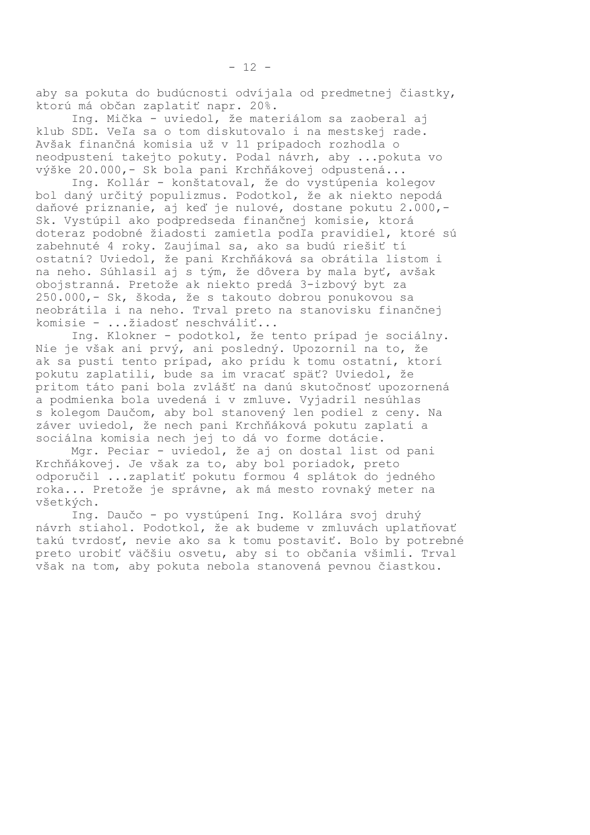aby sa pokuta do budúcnosti odvíjala od predmetnej čiastky, ktorú má občan zaplatiť napr. 20%.

Ing. Mička - uviedol, že materiálom sa zaoberal aj klub SDĽ. Veľa sa o tom diskutovalo i na mestskej rade. Avšak finančná komisia už v 11 prípadoch rozhodla o neodpustení takejto pokuty. Podal návrh, aby ... pokuta vo výške 20.000,- Sk bola pani Krchňákovej odpustená...

Ing. Kollár - konštatoval, že do vystúpenia kolegov bol daný určitý populizmus. Podotkol, že ak niekto nepodá daňové priznanie, aj keď je nulové, dostane pokutu 2.000,-Sk. Vystúpil ako podpredseda finančnej komisie, ktorá doteraz podobné žiadosti zamietla podľa pravidiel, ktoré sú zabehnuté 4 roky. Zaujímal sa, ako sa budú riešiť tí ostatní? Uviedol, že pani Krchňáková sa obrátila listom i na neho. Súhlasil aj s tým, že dôvera by mala byť, avšak obojstranná. Pretože ak niekto predá 3-izbový byt za 250.000,- Sk, škoda, že s takouto dobrou ponukovou sa neobrátila i na neho. Trval preto na stanovisku finančnej komisie - ... žiadosť neschváliť...

Ing. Klokner - podotkol, že tento prípad je sociálny. Nie je však ani prvý, ani posledný. Upozornil na to, že ak sa pustí tento prípad, ako prídu k tomu ostatní, ktorí pokutu zaplatili, bude sa im vracať späť? Uviedol, že pritom táto pani bola zvlášť na danú skutočnosť upozornená a podmienka bola uvedená i v zmluve. Vyjadril nesúhlas s kolegom Daučom, aby bol stanovený len podiel z ceny. Na záver uviedol, že nech pani Krchňáková pokutu zaplatí a sociálna komisia nech jej to dá vo forme dotácie.

Mgr. Peciar - uviedol, že aj on dostal list od pani Krchňákovej. Je však za to, aby bol poriadok, preto odporučil ...zaplatiť pokutu formou 4 splátok do jedného roka... Pretože je správne, ak má mesto rovnaký meter na všetkých.

Ing. Daučo - po vystúpení Ing. Kollára svoj druhý návrh stiahol. Podotkol, že ak budeme v zmluvách uplatňovať takú tvrdosť, nevie ako sa k tomu postaviť. Bolo by potrebné preto urobiť väčšiu osvetu, aby si to občania všimli. Trval však na tom, aby pokuta nebola stanovená pevnou čiastkou.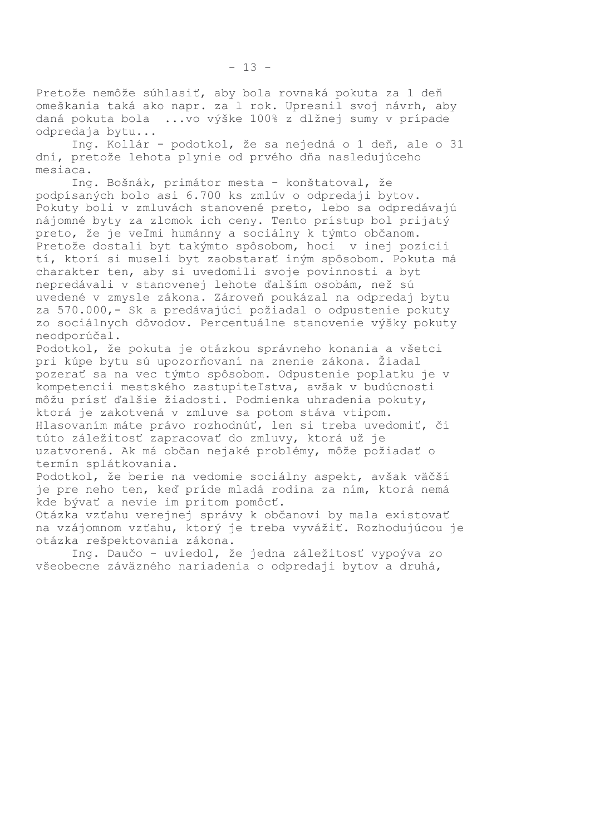Pretože nemôže súhlasiť, aby bola rovnaká pokuta za l deň omeškania taká ako napr. za l rok. Upresnil svoj návrh, aby daná pokuta bola ...vo výške 100% z dlžnej sumy v prípade odpredaja bytu...

Ing. Kollár - podotkol, že sa nejedná o 1 deň, ale o 31 dní, pretože lehota plynie od prvého dňa nasledujúceho mesiaca.

Ing. Bošnák, primátor mesta - konštatoval, že podpísaných bolo asi 6.700 ks zmlúv o odpredaji bytov. Pokuty boli v zmluvách stanovené preto, lebo sa odpredávajú nájomné byty za zlomok ich ceny. Tento prístup bol prijatý preto, že je veľmi humánny a sociálny k týmto občanom. Pretože dostali byt takýmto spôsobom, hoci v inej pozícii tí, ktorí si museli byt zaobstarať iným spôsobom. Pokuta má charakter ten, aby si uvedomili svoje povinnosti a byt nepredávali v stanovenej lehote ďalším osobám, než sú uvedené v zmysle zákona. Zároveň poukázal na odpredaj bytu za 570.000,- Sk a predávajúci požiadal o odpustenie pokuty zo sociálnych dôvodov. Percentuálne stanovenie výšky pokuty neodporúčal.

Podotkol, že pokuta je otázkou správneho konania a všetci pri kúpe bytu sú upozorňovaní na znenie zákona. Žiadal pozerať sa na vec týmto spôsobom. Odpustenie poplatku je v kompetencii mestského zastupiteľstva, avšak v budúcnosti môžu prísť ďalšie žiadosti. Podmienka uhradenia pokuty, ktorá je zakotvená v zmluve sa potom stáva vtipom. Hlasovaním máte právo rozhodnúť, len si treba uvedomiť, či túto záležitosť zapracovať do zmluvy, ktorá už je uzatvorená. Ak má občan nejaké problémy, môže požiadať o termín splátkovania.

Podotkol, že berie na vedomie sociálny aspekt, avšak väčší je pre neho ten, keď príde mladá rodina za ním, ktorá nemá kde bývať a nevie im pritom pomôcť.

Otázka vzťahu verejnej správy k občanovi by mala existovať na vzájomnom vzťahu, ktorý je treba vyvážiť. Rozhodujúcou je otázka rešpektovania zákona.

Ing. Daučo - uviedol, že jedna záležitosť vypoýva zo všeobecne záväzného nariadenia o odpredaji bytov a druhá,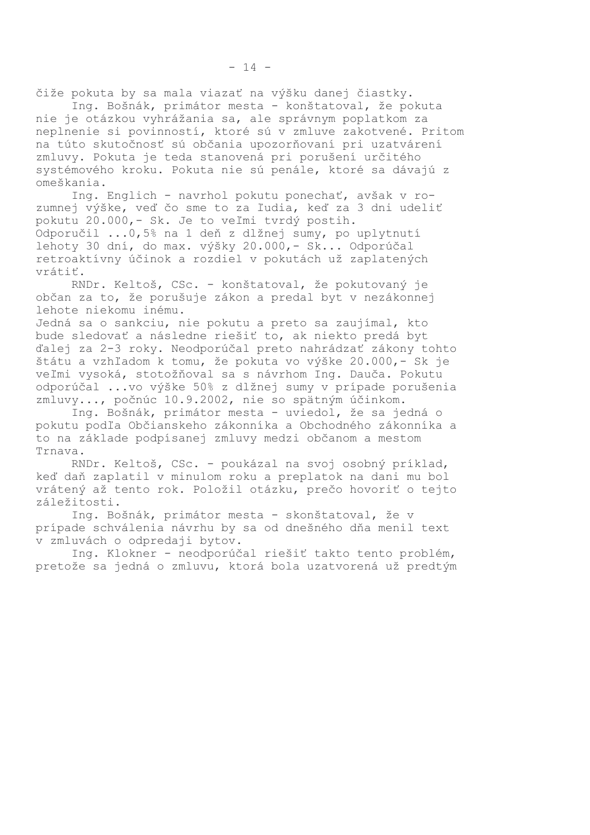čiže pokuta by sa mala viazať na výšku danej čiastky.

Ing. Bošnák, primátor mesta - konštatoval, že pokuta nie je otázkou vyhrážania sa, ale správnym poplatkom za neplnenie si povinností, ktoré sú v zmluve zakotvené. Pritom na túto skutočnosť sú občania upozorňovaní pri uzatvárení zmluvy. Pokuta je teda stanovená pri porušení určitého systémového kroku. Pokuta nie sú penále, ktoré sa dávajú z omeškania.

Ing. Englich - navrhol pokutu ponechať, avšak v rozumnej výške, veď čo sme to za ľudia, keď za 3 dni udeliť pokutu 20.000, - Sk. Je to veľmi tvrdý postih. Odporučil ... 0,5% na 1 deň z dlžnej sumy, po uplytnutí lehoty 30 dní, do max. výšky 20.000, - Sk... Odporúčal retroaktívny účinok a rozdiel v pokutách už zaplatených vrátiť.

RNDr. Keltoš, CSc. - konštatoval, že pokutovaný je občan za to, že porušuje zákon a predal byt v nezákonnej lehote niekomu inému.

Jedná sa o sankciu, nie pokutu a preto sa zaujímal, kto bude sledovať a následne riešiť to, ak niekto predá byt ďalej za 2-3 roky. Neodporúčal preto nahrádzať zákony tohto štátu a vzhľadom k tomu, že pokuta vo výške 20.000,- Sk je veľmi vysoká, stotožňoval sa s návrhom Ing. Dauča. Pokutu odporúčal ...vo výške 50% z dlžnej sumy v prípade porušenia zmluvy..., počnúc 10.9.2002, nie so spätným účinkom.

Ing. Bošnák, primátor mesta - uviedol, že sa jedná o pokutu podľa Občianskeho zákonníka a Obchodného zákonníka a to na základe podpísanej zmluvy medzi občanom a mestom Trnava.

RNDr. Keltoš, CSc. - poukázal na svoj osobný príklad, keď daň zaplatil v minulom roku a preplatok na dani mu bol vrátený až tento rok. Položil otázku, prečo hovoriť o tejto záležitosti.

Ing. Bošnák, primátor mesta - skonštatoval, že v prípade schválenia návrhu by sa od dnešného dňa menil text v zmluvách o odpredaji bytov.

Ing. Klokner - neodporúčal riešiť takto tento problém, pretože sa jedná o zmluvu, ktorá bola uzatvorená už predtým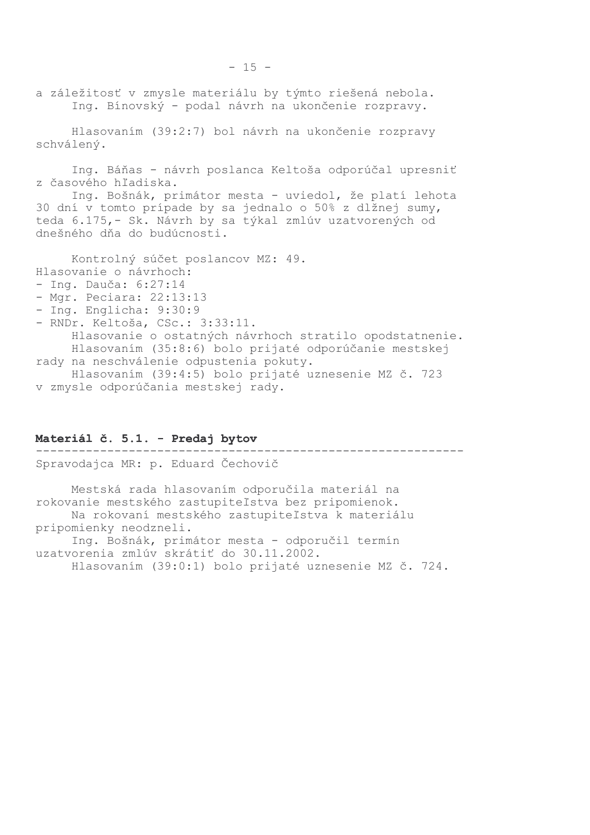a záležitosť v zmysle materiálu by týmto riešená nebola. Ing. Bínovský - podal návrh na ukončenie rozpravy.

Hlasovaním (39:2:7) bol návrh na ukončenie rozpravy schválený.

Inq. Báňas - návrh poslanca Keltoša odporúčal upresniť z časového hľadiska.

Ing. Bošnák, primátor mesta - uviedol, že platí lehota 30 dní v tomto prípade by sa jednalo o 50% z dlžnej sumy, teda 6.175,- Sk. Návrh by sa týkal zmlúv uzatvorených od dnešného dňa do budúcnosti.

Kontrolný súčet poslancov MZ: 49. Hlasovanie o návrhoch: - Ing. Dauča:  $6:27:14$ - Mgr. Peciara: 22:13:13 - Ing. Englicha: 9:30:9 - RNDr. Keltoša, CSc.: 3:33:11.

Hlasovanie o ostatných návrhoch stratilo opodstatnenie. Hlasovaním (35:8:6) bolo prijaté odporúčanie mestskej rady na neschválenie odpustenia pokuty. Hlasovaním (39:4:5) bolo prijaté uznesenie MZ č. 723 v zmysle odporúčania mestskej rady.

### Materiál č. 5.1. - Predaj bytov

Spravodajca MR: p. Eduard Čechovič Mestská rada hlasovaním odporučila materiál na rokovanie mestského zastupiteľstva bez pripomienok. Na rokovaní mestského zastupiteľstva k materiálu pripomienky neodzneli. Ing. Bošnák, primátor mesta - odporučil termín uzatvorenia zmlúv skrátiť do 30.11.2002. Hlasovaním (39:0:1) bolo prijaté uznesenie MZ č. 724.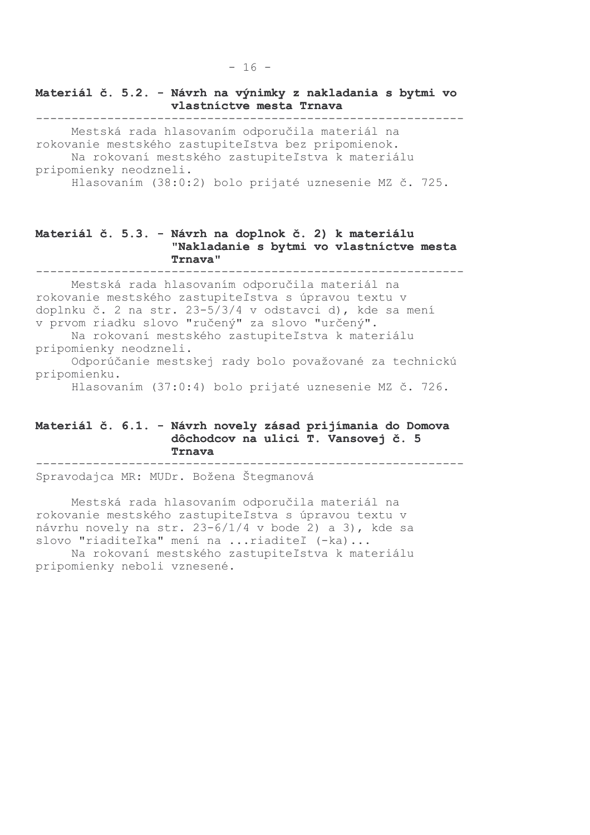### Materiál č. 5.2. - Návrh na výnimky z nakladania s bytmi vo vlastníctve mesta Trnava

Mestská rada hlasovaním odporučila materiál na rokovanie mestského zastupiteľstva bez pripomienok. Na rokovaní mestského zastupiteľstva k materiálu pripomienky neodzneli. Hlasovaním (38:0:2) bolo prijaté uznesenie MZ č. 725.

### Materiál č. 5.3. - Návrh na doplnok č. 2) k materiálu "Nakladanie s bytmi vo vlastníctve mesta **Trnava**"

Mestská rada hlasovaním odporučila materiál na rokovanie mestského zastupiteľstva s úpravou textu v doplnku č. 2 na str. 23-5/3/4 v odstavci d), kde sa mení v prvom riadku slovo "ručený" za slovo "určený".

Na rokovaní mestského zastupiteľstva k materiálu pripomienky neodzneli.

Odporúčanie mestskej rady bolo považované za technickú pripomienku.

Hlasovaním (37:0:4) bolo prijaté uznesenie MZ č. 726.

#### Materiál č. 6.1. - Návrh novely zásad prijímania do Domova dôchodcov na ulici T. Vansovej č. 5 Trnava

Spravodajca MR: MUDr. Božena Štegmanová

Mestská rada hlasovaním odporučila materiál na rokovanie mestského zastupiteľstva s úpravou textu v návrhu novely na str. 23-6/1/4 v bode 2) a 3), kde sa slovo "riaditeľka" mení na ... riaditeľ (-ka)... Na rokovaní mestského zastupiteľstva k materiálu

pripomienky neboli vznesené.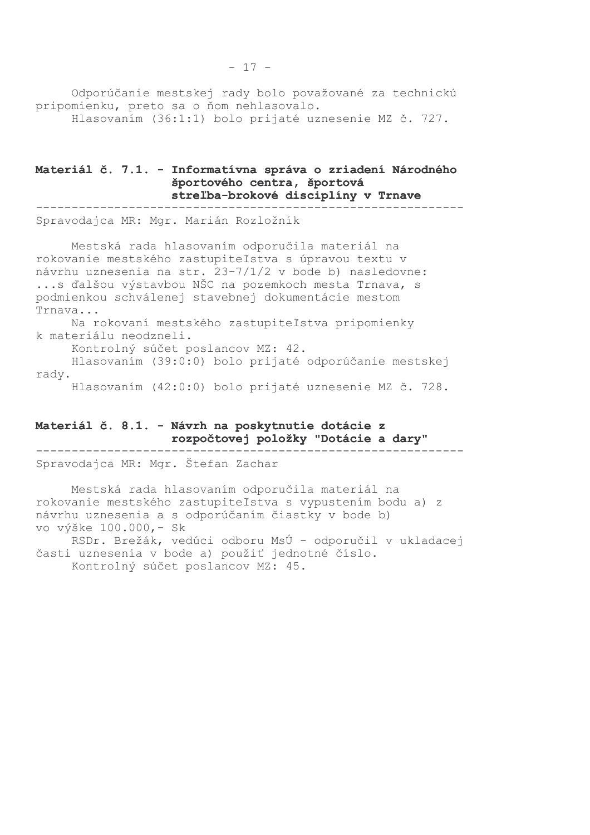Odporúčanie mestskej rady bolo považované za technickú pripomienku, preto sa o ňom nehlasovalo. Hlasovaním (36:1:1) bolo prijaté uznesenie MZ č. 727.

### Materiál č. 7.1. - Informatívna správa o zriadení Národného športového centra, športová streľba-brokové disciplíny v Trnave

Spravodajca MR: Mgr. Marián Rozložník

Mestská rada hlasovaním odporučila materiál na rokovanie mestského zastupiteľstva s úpravou textu v návrhu uznesenia na str. 23-7/1/2 v bode b) nasledovne: ...s ďalšou výstavbou NŠC na pozemkoch mesta Trnava, s podmienkou schválenej stavebnej dokumentácie mestom Trnava... Na rokovaní mestského zastupiteľstva pripomienky

k materiálu neodzneli.

Kontrolný súčet poslancov MZ: 42.

Hlasovaním (39:0:0) bolo prijaté odporúčanie mestskej rady.

Hlasovaním (42:0:0) bolo prijaté uznesenie MZ č. 728.

#### Materiál č. 8.1. - Návrh na poskytnutie dotácie z rozpočtovej položky "Dotácie a dary"

Spravodajca MR: Mgr. Štefan Zachar

Mestská rada hlasovaním odporučila materiál na rokovanie mestského zastupiteľstva s vypustením bodu a) z návrhu uznesenia a s odporúčaním čiastky v bode b) vo výške 100.000,- Sk

RSDr. Brežák, vedúci odboru MsÚ - odporučil v ukladacej časti uznesenia v bode a) použiť jednotné číslo. Kontrolný súčet poslancov MZ: 45.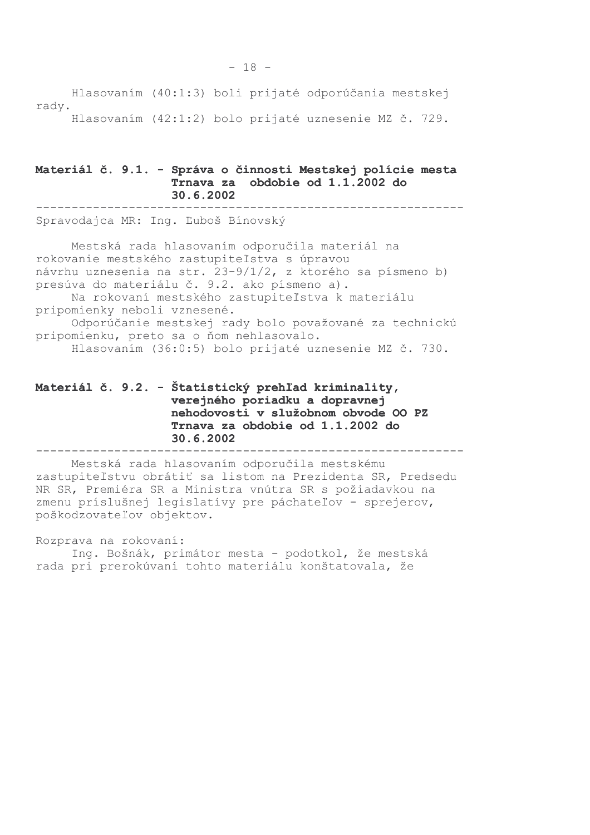Hlasovaním (40:1:3) boli prijaté odporúčania mestskej rady. Hlasovaním (42:1:2) bolo prijaté uznesenie MZ č. 729.

#### Materiál č. 9.1. - Správa o činnosti Mestskej polície mesta Trnava za obdobie od 1.1.2002 do 30.6.2002

Spravodajca MR: Ing. Ľuboš Bínovský

Mestská rada hlasovaním odporučila materiál na rokovanie mestského zastupiteľstva s úpravou návrhu uznesenia na str. 23-9/1/2, z ktorého sa písmeno b) presúva do materiálu č. 9.2. ako písmeno a). Na rokovaní mestského zastupiteľstva k materiálu pripomienky neboli vznesené. Odporúčanie mestskej rady bolo považované za technickú pripomienku, preto sa o ňom nehlasovalo. Hlasovaním (36:0:5) bolo prijaté uznesenie MZ č. 730.

#### Materiál č. 9.2. - Štatistický prehľad kriminality, verejného poriadku a dopravnej nehodovosti v služobnom obvode OO PZ Trnava za obdobie od 1.1.2002 do 30.6.2002

Mestská rada hlasovaním odporučila mestskému zastupiteľstvu obrátiť sa listom na Prezidenta SR, Predsedu NR SR, Premiéra SR a Ministra vnútra SR s požiadavkou na zmenu príslušnej legislatívy pre páchateľov - sprejerov, poškodzovateľov objektov.

Rozprava na rokovaní: Ing. Bošnák, primátor mesta - podotkol, že mestská rada pri prerokúvaní tohto materiálu konštatovala, že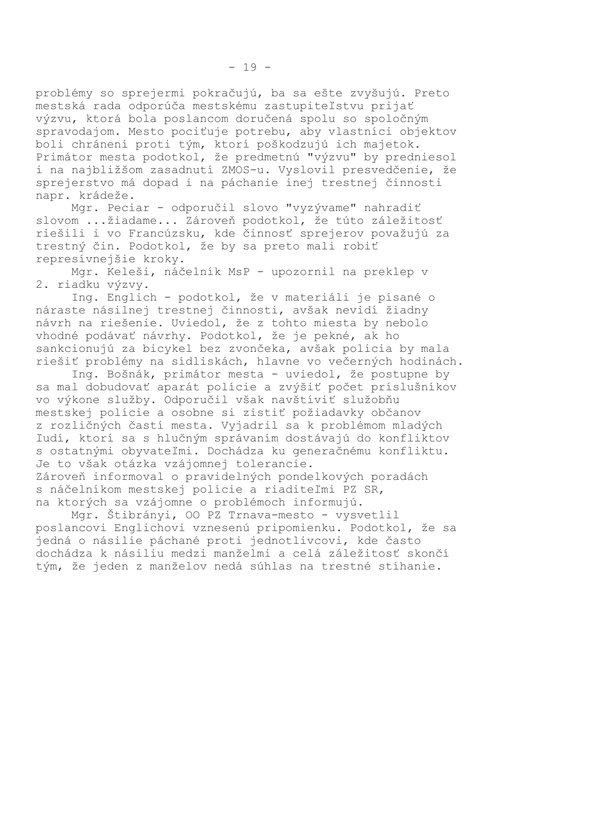problémy so sprejermi pokračujú, ba sa ešte zvyšujú. Preto mestská rada odporúča mestskému zastupiteľstvu prijať výzvu, ktorá bola poslancom doručená spolu so spoločným spravodajom. Mesto pociťuje potrebu, aby vlastníci objektov boli chránení proti tým, ktorí poškodzujú ich majetok. Primátor mesta podotkol, že predmetnú "výzvu" by predniesol i na najbližšom zasadnutí ZMOS-u. Vyslovil presvedčenie, že sprejerstvo má dopad i na páchanie inej trestnej činnosti napr. krádeže.

Mgr. Peciar - odporučil slovo "vyzývame" nahradiť slovom ... žiadame... Zároveň podotkol, že túto záležitosť riešili i vo Francúzsku, kde činnosť sprejerov považujú za trestný čin. Podotkol, že by sa preto mali robiť represívnejšie kroky.

Mgr. Keleši, náčelník MsP - upozornil na preklep v 2. riadku výzvy.

Ing. Englich - podotkol, že v materiáli je písané o náraste násilnej trestnej činnosti, avšak nevidí žiadny návrh na riešenie. Uviedol, že z tohto miesta by nebolo vhodné podávať návrhy. Podotkol, že je pekné, ak ho sankcionujú za bicykel bez zvončeka, avšak polícia by mala riešiť problémy na sídliskách, hlavne vo večerných hodinách.

Ing. Bošnák, primátor mesta - uviedol, že postupne by sa mal dobudovať aparát polície a zvýšiť počet príslušníkov vo výkone služby. Odporučil však navštíviť služobňu mestskej polície a osobne si zistiť požiadavky občanov z rozličných častí mesta. Vyjadril sa k problémom mladých ľudí, ktorí sa s hlučným správaním dostávajú do konfliktov s ostatnými obyvateľmi. Dochádza ku generačnému konfliktu. Je to však otázka vzájomnej tolerancie. Zároveň informoval o pravidelných pondelkových poradách s náčelníkom mestskej polície a riaditeľmi PZ SR,

na ktorých sa vzájomne o problémoch informujú. Mgr. Štibrányi, OO PZ Trnava-mesto - vysvetlil poslancovi Englichovi vznesenú pripomienku. Podotkol, že sa jedná o násilie páchané proti jednotlivcovi, kde často dochádza k násiliu medzi manželmi a celá záležitosť skončí tým, že jeden z manželov nedá súhlas na trestné stíhanie.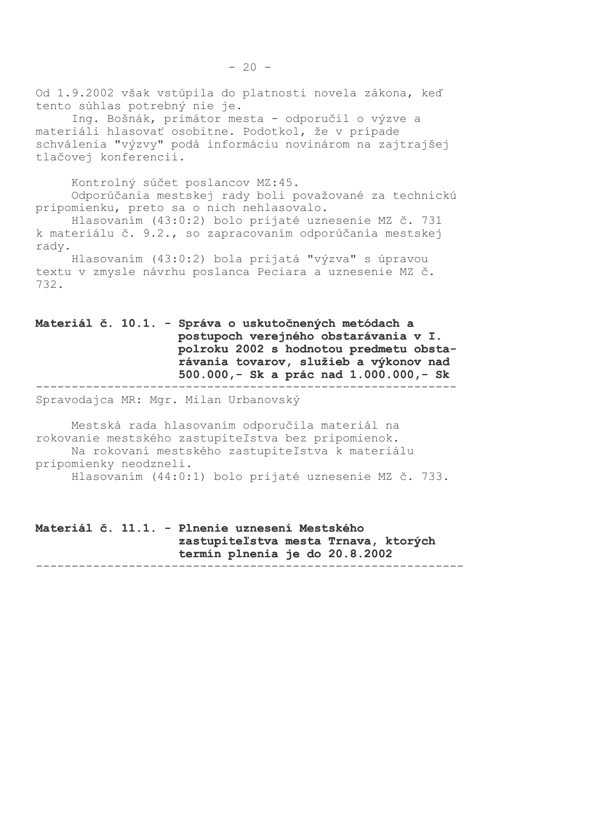Od 1.9.2002 však vstúpila do platnosti novela zákona, keď tento súhlas potrebný nie je. Ing. Bošnák, primátor mesta - odporučil o výzve a

materiáli hlasovať osobitne. Podotkol, že v prípade schválenia "výzvy" podá informáciu novinárom na zajtrajšej tlačovej konferencii.

Kontrolný súčet poslancov MZ:45. Odporúčania mestskej rady boli považované za technickú pripomienku, preto sa o nich nehlasovalo.

Hlasovaním (43:0:2) bolo prijaté uznesenie MZ č. 731 k materiálu č. 9.2., so zapracovaním odporúčania mestskej rady.

Hlasovaním (43:0:2) bola prijatá "výzva" s úpravou textu v zmysle návrhu poslanca Peciara a uznesenie MZ č. 732.

#### Materiál č. 10.1. - Správa o uskutočnených metódach a postupoch verejného obstarávania v I. polroku 2002 s hodnotou predmetu obstarávania tovarov, služieb a výkonov nad 500.000,- Sk a prác nad 1.000.000,- Sk

Spravodajca MR: Mgr. Milan Urbanovský

Mestská rada hlasovaním odporučila materiál na rokovanie mestského zastupiteľstva bez pripomienok. Na rokovaní mestského zastupiteľstva k materiálu pripomienky neodzneli. Hlasovaním (44:0:1) bolo prijaté uznesenie MZ č. 733.

Materiál č. 11.1. - Plnenie uznesení Mestského zastupiteľstva mesta Trnava, ktorých termín plnenia je do 20.8.2002  $\frac{1}{2}$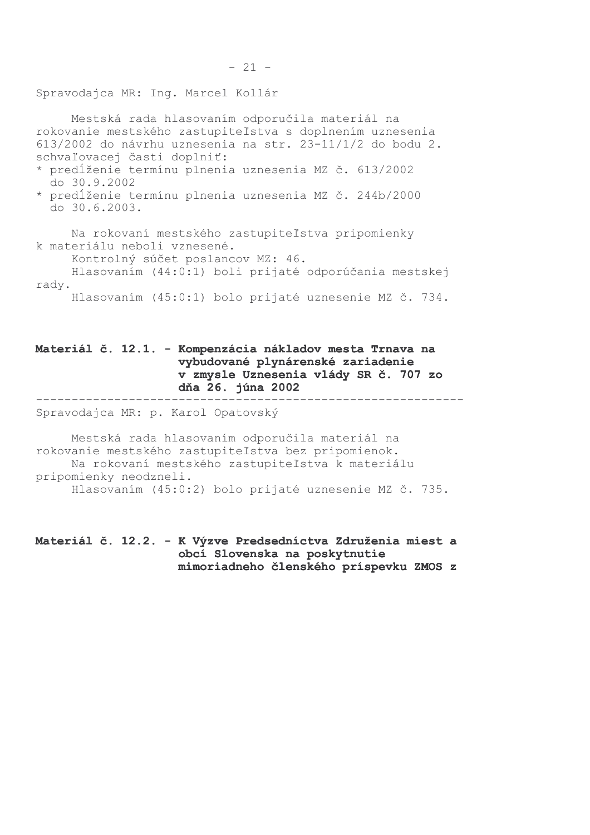Spravodajca MR: Ing. Marcel Kollár

Mestská rada hlasovaním odporučila materiál na rokovanie mestského zastupiteľstva s doplnením uznesenia 613/2002 do návrhu uznesenia na str. 23-11/1/2 do bodu 2. schvaľovacej časti doplniť:

\* predĺženie termínu plnenia uznesenia MZ č. 613/2002 do 30.9.2002

\* predĺženie termínu plnenia uznesenia MZ č. 244b/2000 do 30.6.2003.

Na rokovaní mestského zastupiteľstva pripomienky k materiálu neboli vznesené.

Kontrolný súčet poslancov MZ: 46.

Hlasovaním (44:0:1) boli prijaté odporúčania mestskej rady.

Hlasovaním (45:0:1) bolo prijaté uznesenie MZ č. 734.

### Materiál č. 12.1. - Kompenzácia nákladov mesta Trnava na vybudované plynárenské zariadenie v zmysle Uznesenia vlády SR č. 707 zo dňa 26. júna 2002

Spravodajca MR: p. Karol Opatovský

--------------------

Mestská rada hlasovaním odporučila materiál na rokovanie mestského zastupiteľstva bez pripomienok. Na rokovaní mestského zastupiteľstva k materiálu pripomienky neodzneli. Hlasovaním (45:0:2) bolo prijaté uznesenie MZ č. 735.

Materiál č. 12.2. - K Výzve Predsedníctva Združenia miest a obcí Slovenska na poskytnutie mimoriadneho členského príspevku ZMOS z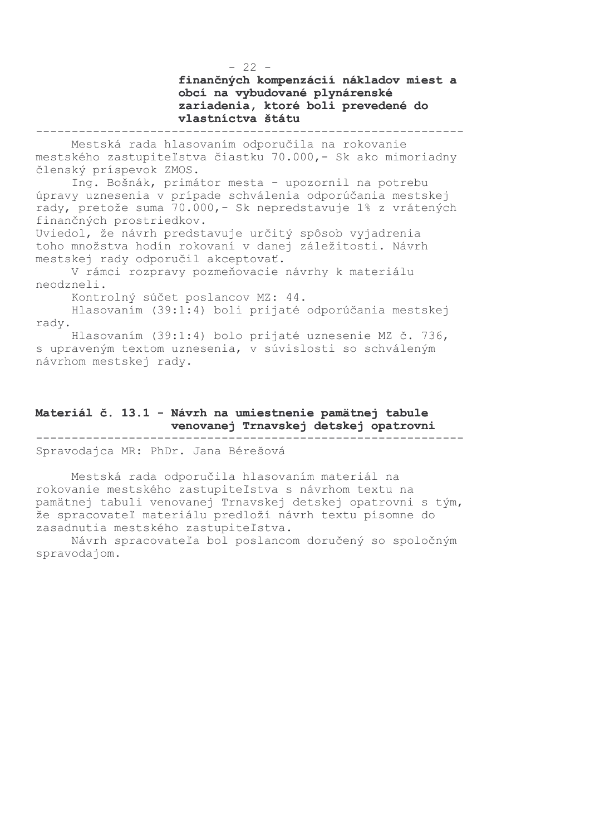finančných kompenzácií nákladov miest a obcí na vybudované plynárenské zariadenia, ktoré boli prevedené do vlastníctva štátu

---------

Mestská rada hlasovaním odporučila na rokovanie mestského zastupiteľstva čiastku 70.000,- Sk ako mimoriadny členský príspevok ZMOS.

Ing. Bošnák, primátor mesta - upozornil na potrebu úpravy uznesenia v prípade schválenia odporúčania mestskej rady, pretože suma 70.000,- Sk nepredstavuje 1% z vrátených finančných prostriedkov.

Uviedol, že návrh predstavuje určitý spôsob vyjadrenia toho množstva hodín rokovaní v danej záležitosti. Návrh mestskej rady odporučil akceptovať.

V rámci rozpravy pozmeňovacie návrhy k materiálu neodzneli.

Kontrolný súčet poslancov MZ: 44.

Hlasovaním (39:1:4) boli prijaté odporúčania mestskej rady.

Hlasovaním (39:1:4) bolo prijaté uznesenie MZ č. 736, s upraveným textom uznesenia, v súvislosti so schváleným návrhom mestskej rady.

### Materiál č. 13.1 - Návrh na umiestnenie pamätnej tabule venovanej Trnavskej detskej opatrovni

Spravodajca MR: PhDr. Jana Bérešová

Mestská rada odporučila hlasovaním materiál na rokovanie mestského zastupiteľstva s návrhom textu na pamätnej tabuli venovanej Trnavskej detskej opatrovni s tým, že spracovateľ materiálu predloží návrh textu písomne do zasadnutia mestského zastupiteľstva.

Návrh spracovateľa bol poslancom doručený so spoločným spravodajom.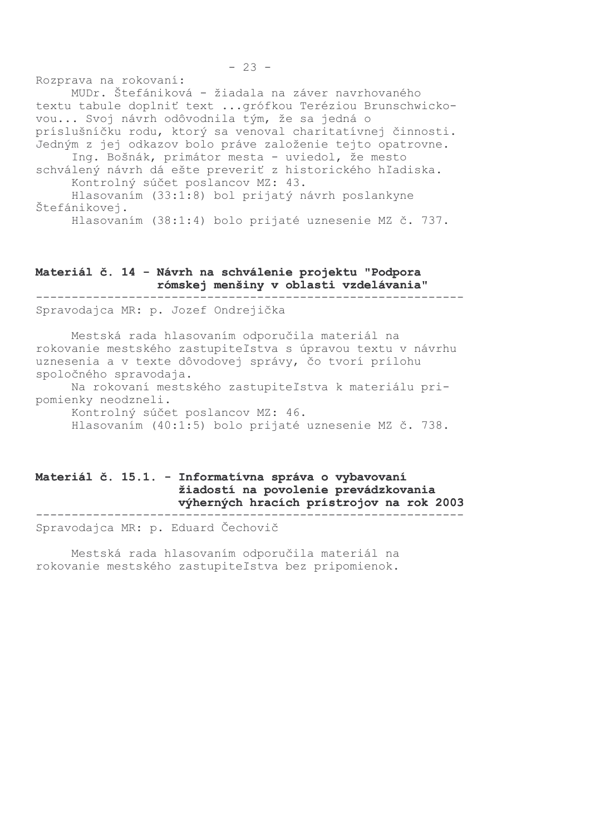Rozprava na rokovaní:

MUDr. Štefániková - žiadala na záver navrhovaného textu tabule doplniť text ... grófkou Teréziou Brunschwickovou... Svoj návrh odôvodnila tým, že sa jedná o príslušníčku rodu, ktorý sa venoval charitatívnej činnosti. Jedným z jej odkazov bolo práve založenie tejto opatrovne. Ing. Bošnák, primátor mesta - uviedol, že mesto schválený návrh dá ešte preveriť z historického hľadiska. Kontrolný súčet poslancov MZ: 43. Hlasovaním (33:1:8) bol prijatý návrh poslankyne Štefánikovej.

Hlasovaním (38:1:4) bolo prijaté uznesenie MZ č. 737.

### Materiál č. 14 - Návrh na schválenie projektu "Podpora rómskej menšiny v oblasti vzdelávania"

Spravodajca MR: p. Jozef Ondrejička

Mestská rada hlasovaním odporučila materiál na rokovanie mestského zastupiteľstva s úpravou textu v návrhu uznesenia a v texte dôvodovej správy, čo tvorí prílohu spoločného spravodaja.

Na rokovaní mestského zastupiteľstva k materiálu pripomienky neodzneli.

Kontrolný súčet poslancov MZ: 46.

Hlasovaním (40:1:5) bolo prijaté uznesenie MZ č. 738.

### Materiál č. 15.1. - Informatívna správa o vybavovaní žiadostí na povolenie prevádzkovania výherných hracích prístrojov na rok 2003

Spravodajca MR: p. Eduard Čechovič

Mestská rada hlasovaním odporučila materiál na rokovanie mestského zastupiteľstva bez pripomienok.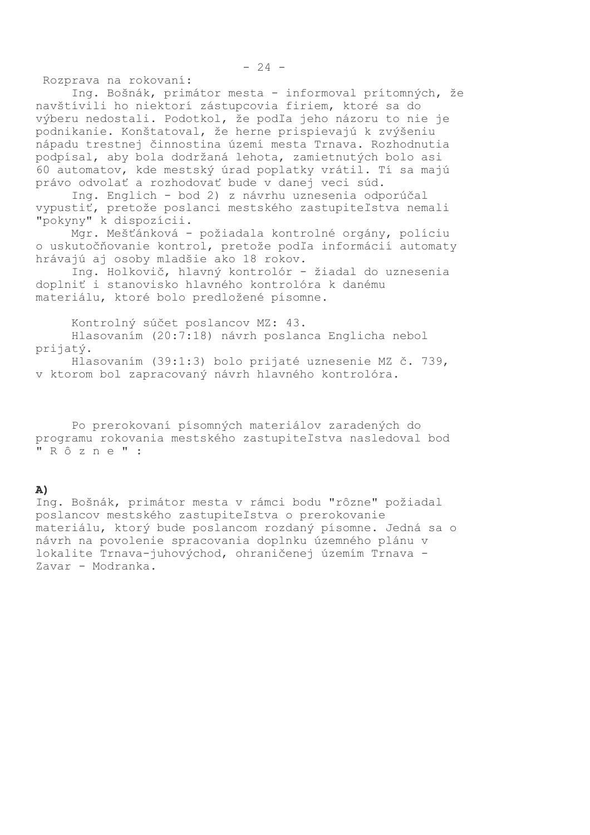Rozprava na rokovaní:

Ing. Bošnák, primátor mesta - informoval prítomných, že navštívili ho niektorí zástupcovia firiem, ktoré sa do výberu nedostali. Podotkol, že podľa jeho názoru to nie je podnikanie. Konštatoval, že herne prispievajú k zvýšeniu nápadu trestnej činnostina území mesta Trnava. Rozhodnutia podpísal, aby bola dodržaná lehota, zamietnutých bolo asi 60 automatov, kde mestský úrad poplatky vrátil. Tí sa majú právo odvolať a rozhodovať bude v danej veci súd.

Ing. Englich - bod 2) z návrhu uznesenia odporúčal vypustiť, pretože poslanci mestského zastupiteľstva nemali "pokyny" k dispozícii.

Mgr. Mešťánková - požiadala kontrolné orgány, políciu o uskutočňovanie kontrol, pretože podľa informácií automaty hrávajú aj osoby mladšie ako 18 rokov.

Ing. Holkovič, hlavný kontrolór - žiadal do uznesenia doplniť i stanovisko hlavného kontrolóra k danému materiálu, ktoré bolo predložené písomne.

Kontrolný súčet poslancov MZ: 43.

Hlasovaním (20:7:18) návrh poslanca Englicha nebol prijatý.

Hlasovaním (39:1:3) bolo prijaté uznesenie MZ č. 739, v ktorom bol zapracovaný návrh hlavného kontrolóra.

Po prerokovaní písomných materiálov zaradených do programu rokovania mestského zastupiteľstva nasledoval bod "Rôzne":

#### A)

Ing. Bošnák, primátor mesta v rámci bodu "rôzne" požiadal poslancov mestského zastupiteľstva o prerokovanie materiálu, ktorý bude poslancom rozdaný písomne. Jedná sa o návrh na povolenie spracovania doplnku územného plánu v lokalite Trnava-juhovýchod, ohraničenej územím Trnava -Zavar - Modranka.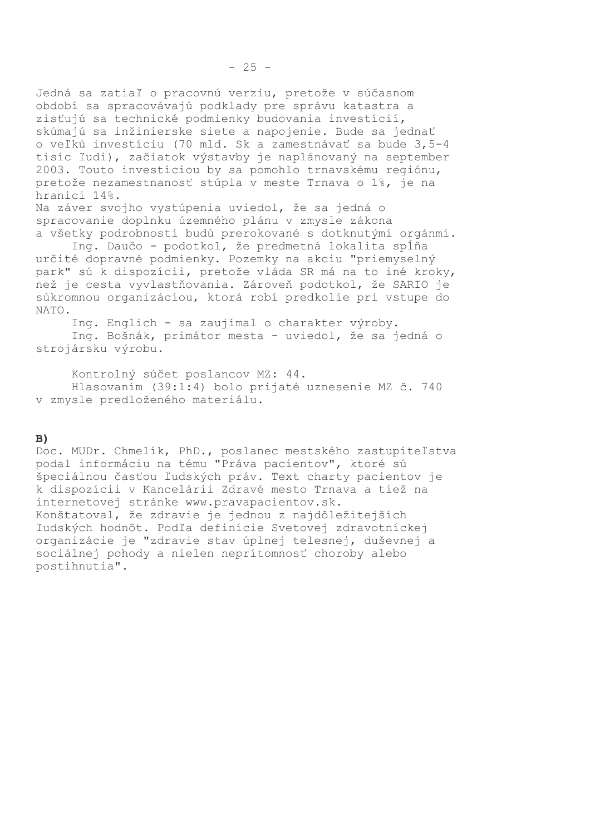Jedná sa zatiaľ o pracovnú verziu, pretože v súčasnom období sa spracovávajú podklady pre správu katastra a zisťujú sa technické podmienky budovania investícií, skúmajú sa inžinierske siete a napojenie. Bude sa jednať o veľkú investíciu (70 mld. Sk a zamestnávať sa bude 3,5-4 tisíc ľudí), začiatok výstavby je naplánovaný na september 2003. Touto investíciou by sa pomohlo trnavskému regiónu, pretože nezamestnanosť stúpla v meste Trnava o 1%, je na hranici 14%.

Na záver svojho vystúpenia uviedol, že sa jedná o spracovanie doplnku územného plánu v zmysle zákona a všetky podrobnosti budú prerokované s dotknutými orgánmi.

Ing. Daučo - podotkol, že predmetná lokalita spĺňa určité dopravné podmienky. Pozemky na akciu "priemyselný park" sú k dispozícii, pretože vláda SR má na to iné kroky, než je cesta vyvlastňovania. Zároveň podotkol, že SARIO je súkromnou organizáciou, ktorá robí predkolie pri vstupe do NATO.

Ing. Englich - sa zaujímal o charakter výroby.

Ing. Bošnák, primátor mesta - uviedol, že sa jedná o strojársku výrobu.

Kontrolný súčet poslancov MZ: 44. Hlasovaním (39:1:4) bolo prijaté uznesenie MZ č. 740 v zmysle predloženého materiálu.

#### $B)$

Doc. MUDr. Chmelík, PhD., poslanec mestského zastupiteľstva podal informáciu na tému "Práva pacientov", ktoré sú špeciálnou časťou ľudských práv. Text charty pacientov je k dispozícii v Kancelárii Zdravé mesto Trnava a tiež na internetovej stránke www.pravapacientov.sk. Konštatoval, že zdravie je jednou z najdôležitejších ľudských hodnôt. Podľa definície Svetovej zdravotníckej organizácie je "zdravie stav úplnej telesnej, duševnej a sociálnej pohody a nielen neprítomnosť choroby alebo postihnutia".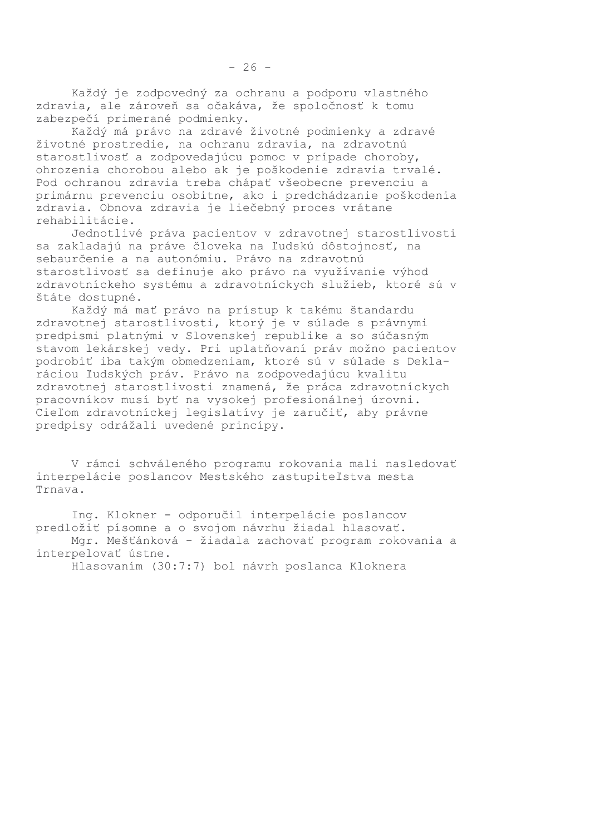Každý je zodpovedný za ochranu a podporu vlastného zdravia, ale zároveň sa očakáva, že spoločnosť k tomu zabezpečí primerané podmienky.

Každý má právo na zdravé životné podmienky a zdravé životné prostredie, na ochranu zdravia, na zdravotnú starostlivosť a zodpovedajúcu pomoc v prípade choroby, ohrozenia chorobou alebo ak je poškodenie zdravia trvalé. Pod ochranou zdravia treba chápať všeobecne prevenciu a primárnu prevenciu osobitne, ako i predchádzanie poškodenia zdravia. Obnova zdravia je liečebný proces vrátane rehabilitácie.

Jednotlivé práva pacientov v zdravotnej starostlivosti sa zakladajú na práve človeka na ľudskú dôstojnosť, na sebaurčenie a na autonómiu. Právo na zdravotnú starostlivosť sa definuje ako právo na využívanie výhod zdravotníckeho systému a zdravotníckych služieb, ktoré sú v štáte dostupné.

Každý má mať právo na prístup k takému štandardu zdravotnej starostlivosti, ktorý je v súlade s právnymi predpismi platnými v Slovenskej republike a so súčasným stavom lekárskej vedy. Pri uplatňovaní práv možno pacientov podrobiť iba takým obmedzeniam, ktoré sú v súlade s Deklaráciou ľudských práv. Právo na zodpovedajúcu kvalitu zdravotnej starostlivosti znamená, že práca zdravotníckych pracovníkov musí byť na vysokej profesionálnej úrovni. Cieľom zdravotníckej legislatívy je zaručiť, aby právne predpisy odrážali uvedené princípy.

V rámci schváleného programu rokovania mali nasledovať interpelácie poslancov Mestského zastupiteľstva mesta Trnava.

Ing. Klokner - odporučil interpelácie poslancov predložiť písomne a o svojom návrhu žiadal hlasovať. Mgr. Mešťánková - žiadala zachovať program rokovania a interpelovať ústne. Hlasovaním (30:7:7) bol návrh poslanca Kloknera